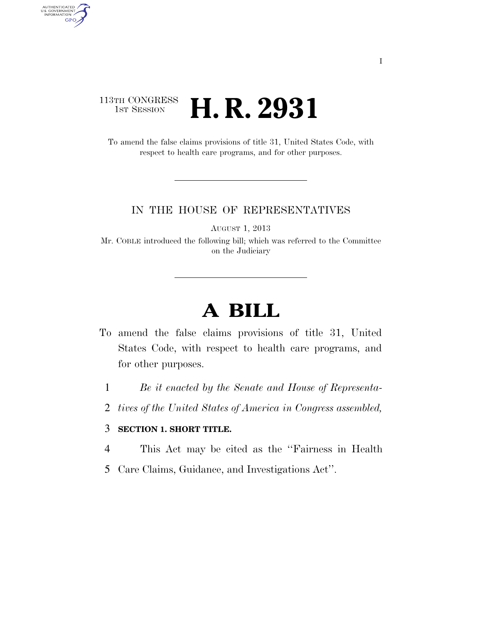### 113TH CONGRESS <sup>TH CONGRESS</sup> **H. R. 2931**

AUTHENTICATED<br>U.S. GOVERNMENT<br>INFORMATION

**GPO** 

To amend the false claims provisions of title 31, United States Code, with respect to health care programs, and for other purposes.

#### IN THE HOUSE OF REPRESENTATIVES

AUGUST 1, 2013

Mr. COBLE introduced the following bill; which was referred to the Committee on the Judiciary

# **A BILL**

- To amend the false claims provisions of title 31, United States Code, with respect to health care programs, and for other purposes.
	- 1 *Be it enacted by the Senate and House of Representa-*
	- 2 *tives of the United States of America in Congress assembled,*

#### 3 **SECTION 1. SHORT TITLE.**

- 4 This Act may be cited as the ''Fairness in Health
- 5 Care Claims, Guidance, and Investigations Act''.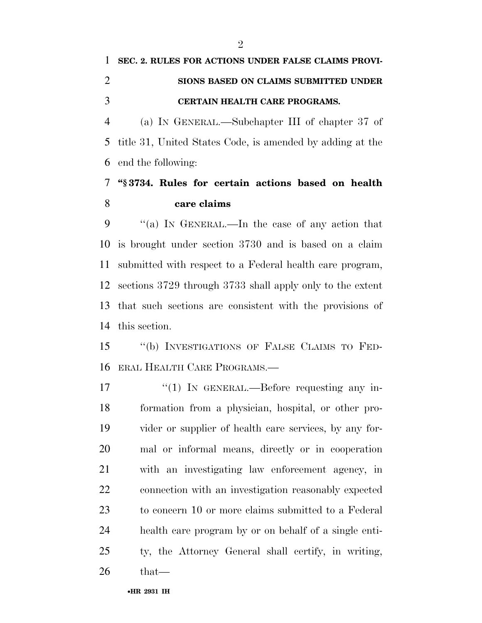## **SEC. 2. RULES FOR ACTIONS UNDER FALSE CLAIMS PROVI- SIONS BASED ON CLAIMS SUBMITTED UNDER CERTAIN HEALTH CARE PROGRAMS.**

 (a) IN GENERAL.—Subchapter III of chapter 37 of title 31, United States Code, is amended by adding at the end the following:

### **''§ 3734. Rules for certain actions based on health care claims**

 ''(a) IN GENERAL.—In the case of any action that is brought under section 3730 and is based on a claim submitted with respect to a Federal health care program, sections 3729 through 3733 shall apply only to the extent that such sections are consistent with the provisions of this section.

 ''(b) INVESTIGATIONS OF FALSE CLAIMS TO FED-ERAL HEALTH CARE PROGRAMS.—

 $\frac{17}{2}$  The GENERAL.—Before requesting any in- formation from a physician, hospital, or other pro- vider or supplier of health care services, by any for- mal or informal means, directly or in cooperation with an investigating law enforcement agency, in connection with an investigation reasonably expected to concern 10 or more claims submitted to a Federal health care program by or on behalf of a single enti- ty, the Attorney General shall certify, in writing, that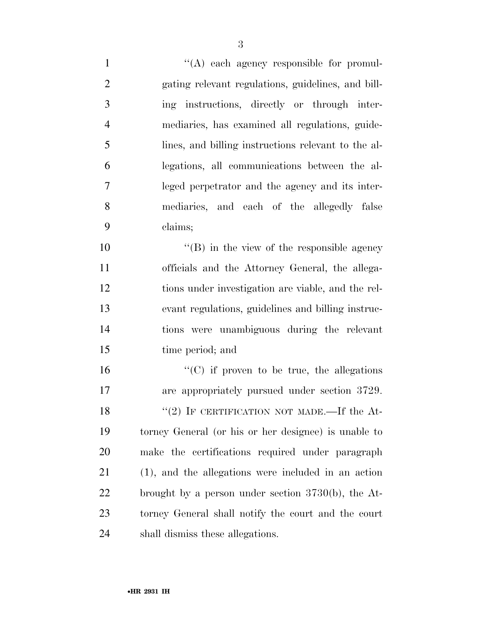$\langle (A) \rangle$  each agency responsible for promul- gating relevant regulations, guidelines, and bill- ing instructions, directly or through inter- mediaries, has examined all regulations, guide- lines, and billing instructions relevant to the al- legations, all communications between the al- leged perpetrator and the agency and its inter- mediaries, and each of the allegedly false claims;

10 "(B) in the view of the responsible agency officials and the Attorney General, the allega- tions under investigation are viable, and the rel- evant regulations, guidelines and billing instruc- tions were unambiguous during the relevant time period; and

 $"({\rm C})$  if proven to be true, the allegations are appropriately pursued under section 3729.  $(2)$  IF CERTIFICATION NOT MADE.—If the At- torney General (or his or her designee) is unable to make the certifications required under paragraph (1), and the allegations were included in an action brought by a person under section 3730(b), the At- torney General shall notify the court and the court shall dismiss these allegations.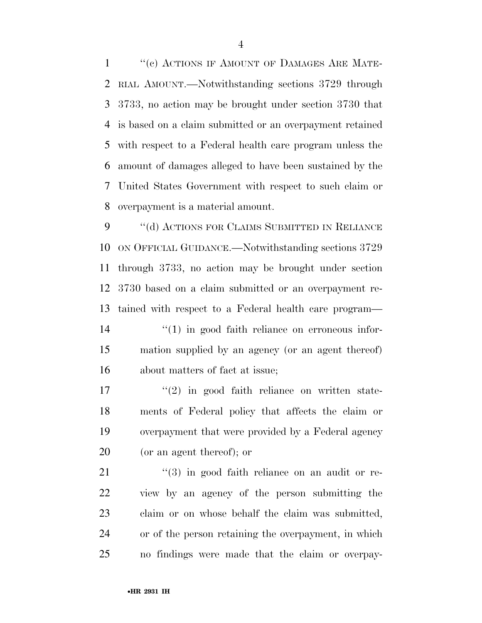1 "(c) ACTIONS IF AMOUNT OF DAMAGES ARE MATE- RIAL AMOUNT.—Notwithstanding sections 3729 through 3733, no action may be brought under section 3730 that is based on a claim submitted or an overpayment retained with respect to a Federal health care program unless the amount of damages alleged to have been sustained by the United States Government with respect to such claim or overpayment is a material amount.

9 "(d) ACTIONS FOR CLAIMS SUBMITTED IN RELIANCE ON OFFICIAL GUIDANCE.—Notwithstanding sections 3729 through 3733, no action may be brought under section 3730 based on a claim submitted or an overpayment re- tained with respect to a Federal health care program—  $\frac{1}{2}$  (1) in good faith reliance on erroneous infor- mation supplied by an agency (or an agent thereof) about matters of fact at issue;

 $\frac{17}{2}$  ''(2) in good faith reliance on written state- ments of Federal policy that affects the claim or overpayment that were provided by a Federal agency (or an agent thereof); or

21 ''(3) in good faith reliance on an audit or re- view by an agency of the person submitting the claim or on whose behalf the claim was submitted, or of the person retaining the overpayment, in which no findings were made that the claim or overpay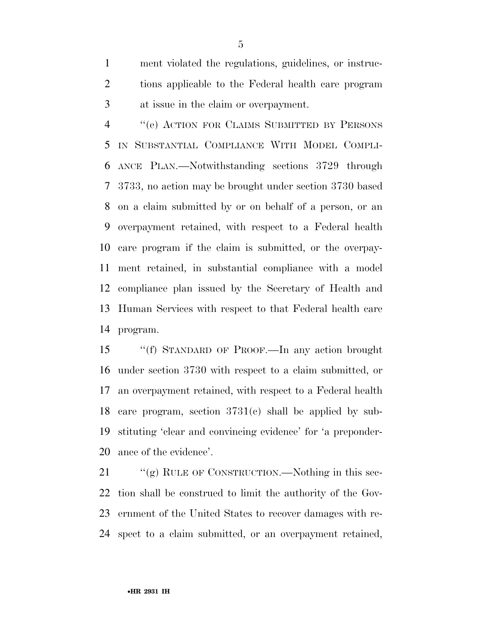ment violated the regulations, guidelines, or instruc- tions applicable to the Federal health care program at issue in the claim or overpayment.

 ''(e) ACTION FOR CLAIMS SUBMITTED BY PERSONS IN SUBSTANTIAL COMPLIANCE WITH MODEL COMPLI- ANCE PLAN.—Notwithstanding sections 3729 through 3733, no action may be brought under section 3730 based on a claim submitted by or on behalf of a person, or an overpayment retained, with respect to a Federal health care program if the claim is submitted, or the overpay- ment retained, in substantial compliance with a model compliance plan issued by the Secretary of Health and Human Services with respect to that Federal health care program.

 ''(f) STANDARD OF PROOF.—In any action brought under section 3730 with respect to a claim submitted, or an overpayment retained, with respect to a Federal health care program, section 3731(c) shall be applied by sub- stituting 'clear and convincing evidence' for 'a preponder-ance of the evidence'.

21 ""(g) RULE OF CONSTRUCTION.—Nothing in this sec- tion shall be construed to limit the authority of the Gov- ernment of the United States to recover damages with re-spect to a claim submitted, or an overpayment retained,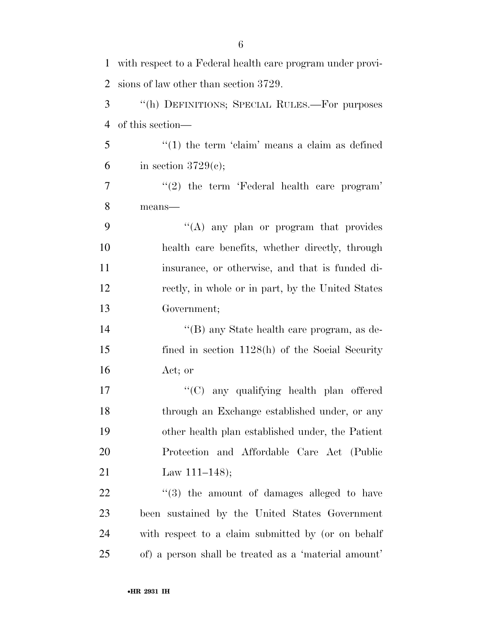| $\mathbf{1}$   | with respect to a Federal health care program under provi- |
|----------------|------------------------------------------------------------|
| $\overline{2}$ | sions of law other than section 3729.                      |
| 3              | "(h) DEFINITIONS; SPECIAL RULES.—For purposes              |
| 4              | of this section—                                           |
| 5              | $f'(1)$ the term 'claim' means a claim as defined          |
| 6              | in section $3729(e)$ ;                                     |
| 7              | $"(2)$ the term 'Federal health care program'              |
| 8              | means-                                                     |
| 9              | "(A) any plan or program that provides                     |
| 10             | health care benefits, whether directly, through            |
| 11             | insurance, or otherwise, and that is funded di-            |
| 12             | rectly, in whole or in part, by the United States          |
| 13             | Government;                                                |
| 14             | "(B) any State health care program, as de-                 |
| 15             | fined in section $1128(h)$ of the Social Security          |
| 16             | Act; or                                                    |
| 17             | "(C) any qualifying health plan offered                    |
| 18             | through an Exchange established under, or any              |
| 19             | other health plan established under, the Patient           |
| 20             | Protection and Affordable Care Act (Public                 |
| 21             | Law $111-148$ ;                                            |
| 22             | $\cdot\cdot\cdot(3)$ the amount of damages alleged to have |
| 23             | been sustained by the United States Government             |
| 24             | with respect to a claim submitted by (or on behalf         |
| 25             | of) a person shall be treated as a 'material amount'       |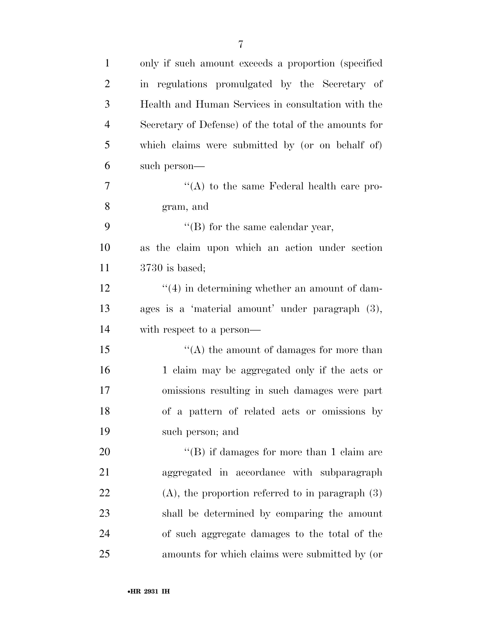| $\mathbf{1}$   | only if such amount exceeds a proportion (specified)  |
|----------------|-------------------------------------------------------|
| $\overline{2}$ | in regulations promulgated by the Secretary of        |
| 3              | Health and Human Services in consultation with the    |
| $\overline{4}$ | Secretary of Defense) of the total of the amounts for |
| 5              | which claims were submitted by (or on behalf of)      |
| 6              | such person—                                          |
| 7              | "(A) to the same Federal health care pro-             |
| 8              | gram, and                                             |
| 9              | "(B) for the same calendar year,                      |
| 10             | as the claim upon which an action under section       |
| 11             | $3730$ is based;                                      |
| 12             | $\cdot$ (4) in determining whether an amount of dam-  |
| 13             | ages is a 'material amount' under paragraph (3),      |
| 14             | with respect to a person—                             |
| 15             | "(A) the amount of damages for more than              |
| 16             | 1 claim may be aggregated only if the acts or         |
| 17             | omissions resulting in such damages were part         |
| 18             | of a pattern of related acts or omissions by          |
| 19             | such person; and                                      |
| 20             | "(B) if damages for more than 1 claim are             |
| 21             | aggregated in accordance with subparagraph            |
| 22             | $(A)$ , the proportion referred to in paragraph $(3)$ |
| 23             | shall be determined by comparing the amount           |
| 24             | of such aggregate damages to the total of the         |
| 25             | amounts for which claims were submitted by (or        |